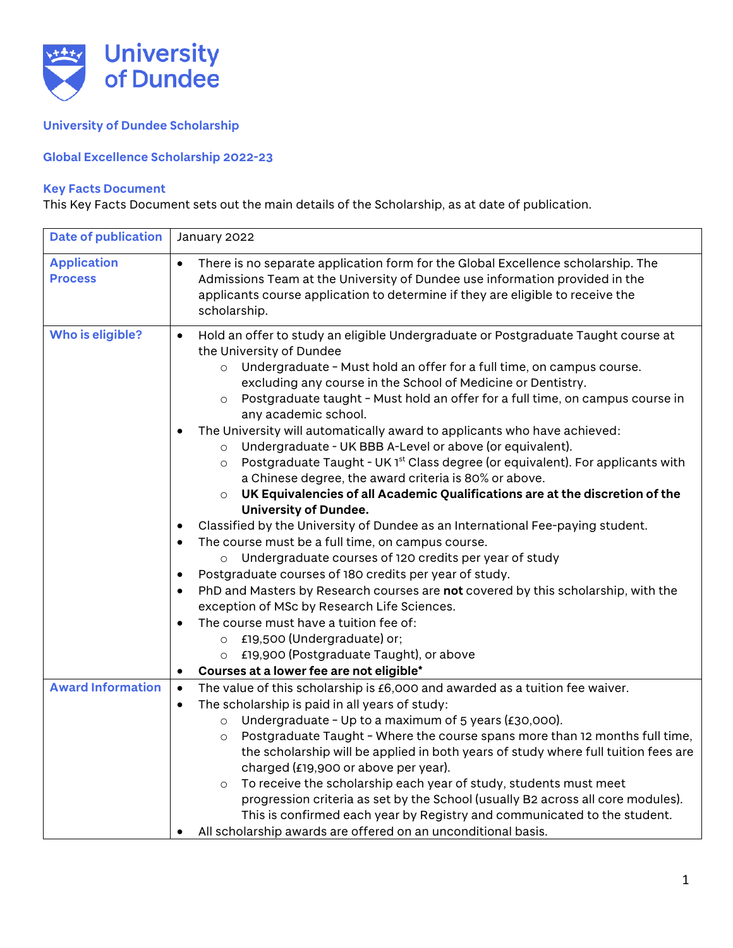

## **University of Dundee Scholarship**

## **Global Excellence Scholarship 2022-23**

## **Key Facts Document**

This Key Facts Document sets out the main details of the Scholarship, as at date of publication.

| <b>Date of publication</b> | January 2022                                                                                                                              |
|----------------------------|-------------------------------------------------------------------------------------------------------------------------------------------|
| <b>Application</b>         | There is no separate application form for the Global Excellence scholarship. The                                                          |
| <b>Process</b>             | Admissions Team at the University of Dundee use information provided in the                                                               |
|                            | applicants course application to determine if they are eligible to receive the<br>scholarship.                                            |
|                            |                                                                                                                                           |
| Who is eligible?           | Hold an offer to study an eligible Undergraduate or Postgraduate Taught course at<br>$\bullet$<br>the University of Dundee                |
|                            | Undergraduate - Must hold an offer for a full time, on campus course.<br>$\circ$                                                          |
|                            | excluding any course in the School of Medicine or Dentistry.                                                                              |
|                            | Postgraduate taught - Must hold an offer for a full time, on campus course in<br>$\circ$<br>any academic school.                          |
|                            | The University will automatically award to applicants who have achieved:                                                                  |
|                            | Undergraduate - UK BBB A-Level or above (or equivalent).<br>$\circ$                                                                       |
|                            | Postgraduate Taught - UK 1 <sup>st</sup> Class degree (or equivalent). For applicants with<br>$\circ$                                     |
|                            | a Chinese degree, the award criteria is 80% or above.                                                                                     |
|                            | UK Equivalencies of all Academic Qualifications are at the discretion of the<br>$\circ$                                                   |
|                            | <b>University of Dundee.</b>                                                                                                              |
|                            | Classified by the University of Dundee as an International Fee-paying student.<br>$\bullet$                                               |
|                            | The course must be a full time, on campus course.<br>$\bullet$<br>Undergraduate courses of 120 credits per year of study                  |
|                            | $\circ$<br>Postgraduate courses of 180 credits per year of study.<br>$\bullet$                                                            |
|                            | PhD and Masters by Research courses are not covered by this scholarship, with the<br>$\bullet$                                            |
|                            | exception of MSc by Research Life Sciences.                                                                                               |
|                            | The course must have a tuition fee of:<br>$\bullet$                                                                                       |
|                            | £19,500 (Undergraduate) or;<br>$\circ$                                                                                                    |
|                            | £19,900 (Postgraduate Taught), or above<br>$\circ$                                                                                        |
|                            | Courses at a lower fee are not eligible*<br>$\bullet$                                                                                     |
| <b>Award Information</b>   | The value of this scholarship is £6,000 and awarded as a tuition fee waiver.<br>$\bullet$                                                 |
|                            | The scholarship is paid in all years of study:<br>$\bullet$                                                                               |
|                            | Undergraduate - Up to a maximum of 5 years (£30,000).<br>$\circ$                                                                          |
|                            | Postgraduate Taught - Where the course spans more than 12 months full time,<br>$\circ$                                                    |
|                            | the scholarship will be applied in both years of study where full tuition fees are                                                        |
|                            | charged (£19,900 or above per year).                                                                                                      |
|                            | To receive the scholarship each year of study, students must meet<br>$\circ$                                                              |
|                            | progression criteria as set by the School (usually B2 across all core modules).                                                           |
|                            | This is confirmed each year by Registry and communicated to the student.<br>All scholarship awards are offered on an unconditional basis. |
|                            |                                                                                                                                           |